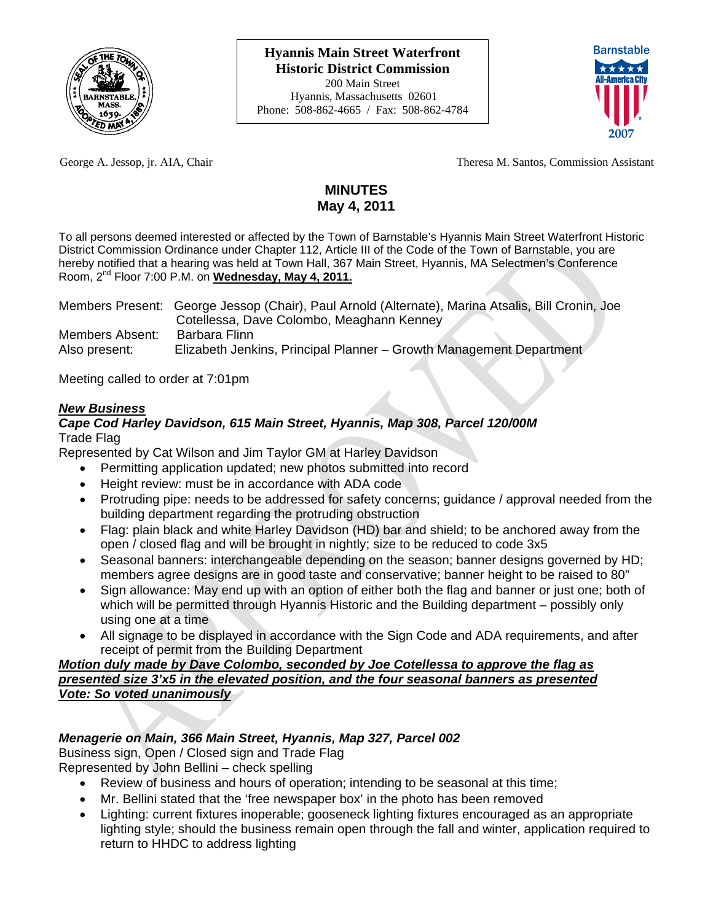



George A. Jessop, jr. AIA, Chair Theresa M. Santos, Commission Assistant

# **MINUTES May 4, 2011**

To all persons deemed interested or affected by the Town of Barnstable's Hyannis Main Street Waterfront Historic District Commission Ordinance under Chapter 112, Article III of the Code of the Town of Barnstable, you are hereby notified that a hearing was held at Town Hall, 367 Main Street, Hyannis, MA Selectmen's Conference Room, 2nd Floor 7:00 P.M. on **Wednesday, May 4, 2011.**

|                 | Members Present: George Jessop (Chair), Paul Arnold (Alternate), Marina Atsalis, Bill Cronin, Joe |
|-----------------|---------------------------------------------------------------------------------------------------|
|                 | Cotellessa, Dave Colombo, Meaghann Kenney                                                         |
| Members Absent: | Barbara Flinn                                                                                     |
| Also present:   | Elizabeth Jenkins, Principal Planner - Growth Management Department                               |

Meeting called to order at 7:01pm

# *New Business*

## *Cape Cod Harley Davidson, 615 Main Street, Hyannis, Map 308, Parcel 120/00M*  Trade Flag

Represented by Cat Wilson and Jim Taylor GM at Harley Davidson

- Permitting application updated; new photos submitted into record
- Height review: must be in accordance with ADA code
- Protruding pipe: needs to be addressed for safety concerns; guidance / approval needed from the building department regarding the protruding obstruction
- Flag: plain black and white Harley Davidson (HD) bar and shield; to be anchored away from the open / closed flag and will be brought in nightly; size to be reduced to code 3x5
- Seasonal banners: interchangeable depending on the season; banner designs governed by HD; members agree designs are in good taste and conservative; banner height to be raised to 80"
- Sign allowance: May end up with an option of either both the flag and banner or just one; both of which will be permitted through Hyannis Historic and the Building department – possibly only using one at a time
- All signage to be displayed in accordance with the Sign Code and ADA requirements, and after receipt of permit from the Building Department

#### *Motion duly made by Dave Colombo, seconded by Joe Cotellessa to approve the flag as presented size 3'x5 in the elevated position, and the four seasonal banners as presented Vote: So voted unanimously*

# *Menagerie on Main, 366 Main Street, Hyannis, Map 327, Parcel 002*

Business sign, Open / Closed sign and Trade Flag Represented by John Bellini – check spelling

- Review of business and hours of operation; intending to be seasonal at this time;
- Mr. Bellini stated that the 'free newspaper box' in the photo has been removed
- Lighting: current fixtures inoperable; gooseneck lighting fixtures encouraged as an appropriate lighting style; should the business remain open through the fall and winter, application required to return to HHDC to address lighting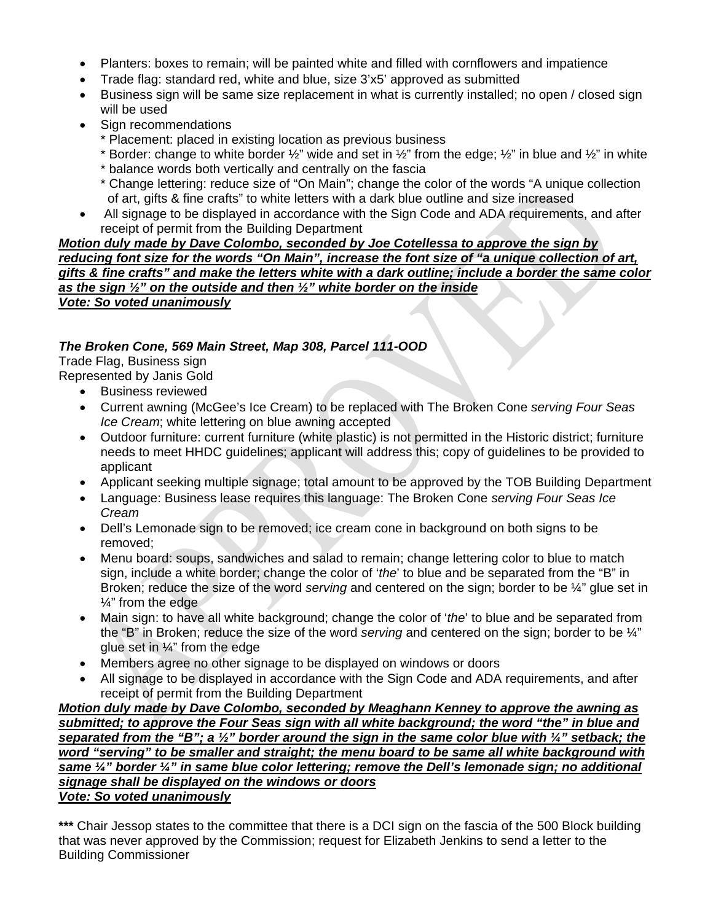- Planters: boxes to remain; will be painted white and filled with cornflowers and impatience
- Trade flag: standard red, white and blue, size 3'x5' approved as submitted
- Business sign will be same size replacement in what is currently installed; no open / closed sign will be used
- Sign recommendations
	- \* Placement: placed in existing location as previous business
	- \* Border: change to white border  $\frac{1}{2}$ " wide and set in  $\frac{1}{2}$ " from the edge;  $\frac{1}{2}$ " in blue and  $\frac{1}{2}$ " in white
	- \* balance words both vertically and centrally on the fascia
	- \* Change lettering: reduce size of "On Main"; change the color of the words "A unique collection of art, gifts & fine crafts" to white letters with a dark blue outline and size increased
- All signage to be displayed in accordance with the Sign Code and ADA requirements, and after receipt of permit from the Building Department

#### *Motion duly made by Dave Colombo, seconded by Joe Cotellessa to approve the sign by reducing font size for the words "On Main", increase the font size of "a unique collection of art, gifts & fine crafts" and make the letters white with a dark outline; include a border the same color as the sign ½" on the outside and then ½" white border on the inside Vote: So voted unanimously*

# *The Broken Cone, 569 Main Street, Map 308, Parcel 111-OOD*

Trade Flag, Business sign

- Represented by Janis Gold
	- Business reviewed
	- Current awning (McGee's Ice Cream) to be replaced with The Broken Cone *serving Four Seas Ice Cream*; white lettering on blue awning accepted
	- Outdoor furniture: current furniture (white plastic) is not permitted in the Historic district; furniture needs to meet HHDC guidelines; applicant will address this; copy of guidelines to be provided to applicant
	- Applicant seeking multiple signage; total amount to be approved by the TOB Building Department
	- Language: Business lease requires this language: The Broken Cone *serving Four Seas Ice Cream*
	- Dell's Lemonade sign to be removed; ice cream cone in background on both signs to be removed;
	- Menu board: soups, sandwiches and salad to remain; change lettering color to blue to match sign, include a white border; change the color of '*the*' to blue and be separated from the "B" in Broken; reduce the size of the word *serving* and centered on the sign; border to be ¼" glue set in ¼" from the edge
	- Main sign: to have all white background; change the color of '*the*' to blue and be separated from the "B" in Broken; reduce the size of the word *serving* and centered on the sign; border to be ¼" glue set in ¼" from the edge
	- Members agree no other signage to be displayed on windows or doors
	- All signage to be displayed in accordance with the Sign Code and ADA requirements, and after receipt of permit from the Building Department

*Motion duly made by Dave Colombo, seconded by Meaghann Kenney to approve the awning as submitted; to approve the Four Seas sign with all white background; the word "the" in blue and separated from the "B"; a ½" border around the sign in the same color blue with ¼" setback; the word "serving" to be smaller and straight; the menu board to be same all white background with same ¼" border ¼" in same blue color lettering; remove the Dell's lemonade sign; no additional signage shall be displayed on the windows or doors Vote: So voted unanimously*

**\*\*\*** Chair Jessop states to the committee that there is a DCI sign on the fascia of the 500 Block building that was never approved by the Commission; request for Elizabeth Jenkins to send a letter to the Building Commissioner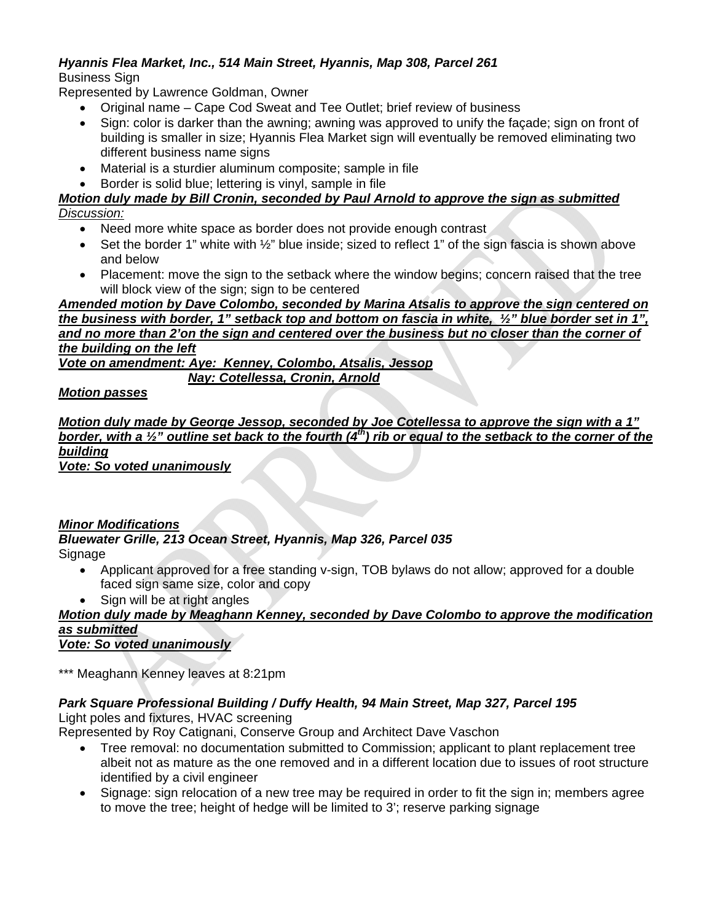#### *Hyannis Flea Market, Inc., 514 Main Street, Hyannis, Map 308, Parcel 261*  Business Sign

Represented by Lawrence Goldman, Owner

- Original name Cape Cod Sweat and Tee Outlet; brief review of business
- Sign: color is darker than the awning; awning was approved to unify the façade; sign on front of building is smaller in size; Hyannis Flea Market sign will eventually be removed eliminating two different business name signs
- Material is a sturdier aluminum composite; sample in file
- Border is solid blue; lettering is vinyl, sample in file

# *Motion duly made by Bill Cronin, seconded by Paul Arnold to approve the sign as submitted*

#### *Discussion:*

- Need more white space as border does not provide enough contrast
- $\bullet$  Set the border 1" white with  $\frac{1}{2}$ " blue inside; sized to reflect 1" of the sign fascia is shown above and below
- Placement: move the sign to the setback where the window begins; concern raised that the tree will block view of the sign; sign to be centered

*Amended motion by Dave Colombo, seconded by Marina Atsalis to approve the sign centered on the business with border, 1" setback top and bottom on fascia in white, ½" blue border set in 1",*  and no more than 2'on the sign and centered over the business but no closer than the corner of *the building on the left*

*Vote on amendment: Aye: Kenney, Colombo, Atsalis, Jessop*

 *Nay: Cotellessa, Cronin, Arnold*

#### *Motion passes*

*Motion duly made by George Jessop, seconded by Joe Cotellessa to approve the sign with a 1" border, with a 1/<sub>2</sub>" outline set back to the fourth (4<sup>th</sup>) rib or equal to the setback to the corner of the building*

*Vote: So voted unanimously*

#### *Minor Modifications*

#### *Bluewater Grille, 213 Ocean Street, Hyannis, Map 326, Parcel 035*  **Signage**

- Applicant approved for a free standing v-sign, TOB bylaws do not allow; approved for a double faced sign same size, color and copy
- Sign will be at right angles

# *Motion duly made by Meaghann Kenney, seconded by Dave Colombo to approve the modification as submitted*

*Vote: So voted unanimously*

\*\*\* Meaghann Kenney leaves at 8:21pm

## *Park Square Professional Building / Duffy Health, 94 Main Street, Map 327, Parcel 195*

Light poles and fixtures, HVAC screening

Represented by Roy Catignani, Conserve Group and Architect Dave Vaschon

- Tree removal: no documentation submitted to Commission; applicant to plant replacement tree albeit not as mature as the one removed and in a different location due to issues of root structure identified by a civil engineer
- Signage: sign relocation of a new tree may be required in order to fit the sign in; members agree to move the tree; height of hedge will be limited to 3'; reserve parking signage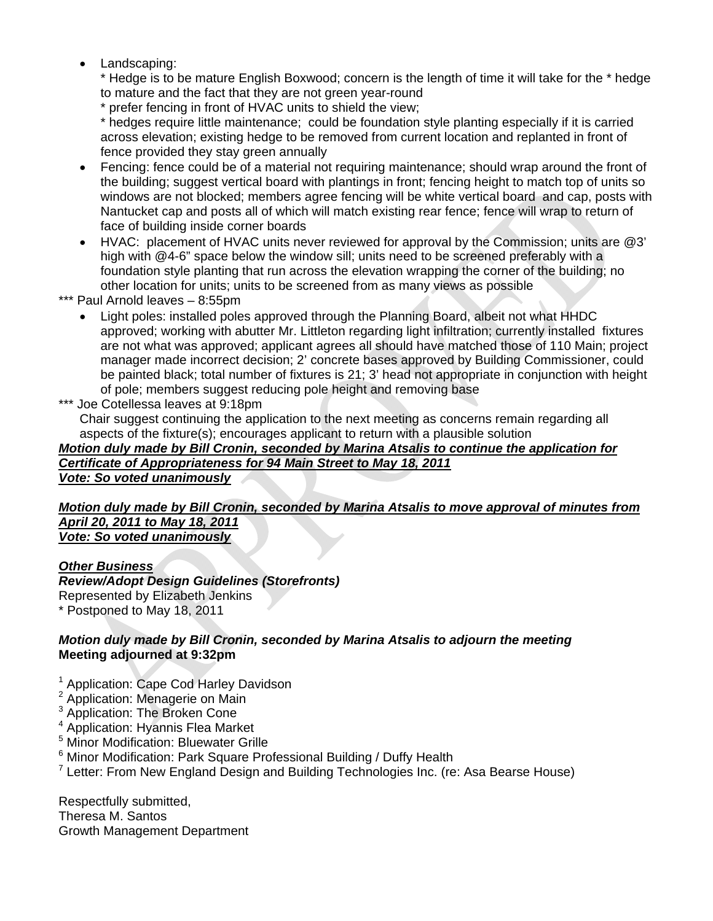Landscaping:

\* Hedge is to be mature English Boxwood; concern is the length of time it will take for the \* hedge to mature and the fact that they are not green year-round

\* prefer fencing in front of HVAC units to shield the view;

\* hedges require little maintenance; could be foundation style planting especially if it is carried across elevation; existing hedge to be removed from current location and replanted in front of fence provided they stay green annually

- Fencing: fence could be of a material not requiring maintenance; should wrap around the front of the building; suggest vertical board with plantings in front; fencing height to match top of units so windows are not blocked; members agree fencing will be white vertical board and cap, posts with Nantucket cap and posts all of which will match existing rear fence; fence will wrap to return of face of building inside corner boards
- HVAC: placement of HVAC units never reviewed for approval by the Commission; units are @3' high with @4-6" space below the window sill; units need to be screened preferably with a foundation style planting that run across the elevation wrapping the corner of the building; no other location for units; units to be screened from as many views as possible
- \*\*\* Paul Arnold leaves 8:55pm
	- Light poles: installed poles approved through the Planning Board, albeit not what HHDC approved; working with abutter Mr. Littleton regarding light infiltration; currently installed fixtures are not what was approved; applicant agrees all should have matched those of 110 Main; project manager made incorrect decision; 2' concrete bases approved by Building Commissioner, could be painted black; total number of fixtures is 21; 3' head not appropriate in conjunction with height of pole; members suggest reducing pole height and removing base

Joe Cotellessa leaves at 9:18pm

Chair suggest continuing the application to the next meeting as concerns remain regarding all aspects of the fixture(s); encourages applicant to return with a plausible solution

#### *Motion duly made by Bill Cronin, seconded by Marina Atsalis to continue the application for Certificate of Appropriateness for 94 Main Street to May 18, 2011 Vote: So voted unanimously*

#### *Motion duly made by Bill Cronin, seconded by Marina Atsalis to move approval of minutes from April 20, 2011 to May 18, 2011 Vote: So voted unanimously*

## *Other Business*

## *Review/Adopt Design Guidelines (Storefronts)*

Represented by Elizabeth Jenkins \* Postponed to May 18, 2011

## *Motion duly made by Bill Cronin, seconded by Marina Atsalis to adjourn the meeting*  **Meeting adjourned at 9:32pm**

- <sup>1</sup> Application: Cape Cod Harley Davidson
- <sup>2</sup> Application: Menagerie on Main
- <sup>3</sup> Application: The Broken Cone
- 4 Application: Hyannis Flea Market
- 5 Minor Modification: Bluewater Grille
- <sup>6</sup> Minor Modification: Park Square Professional Building / Duffy Health
- <sup>7</sup> Letter: From New England Design and Building Technologies Inc. (re: Asa Bearse House)

Respectfully submitted, Theresa M. Santos Growth Management Department